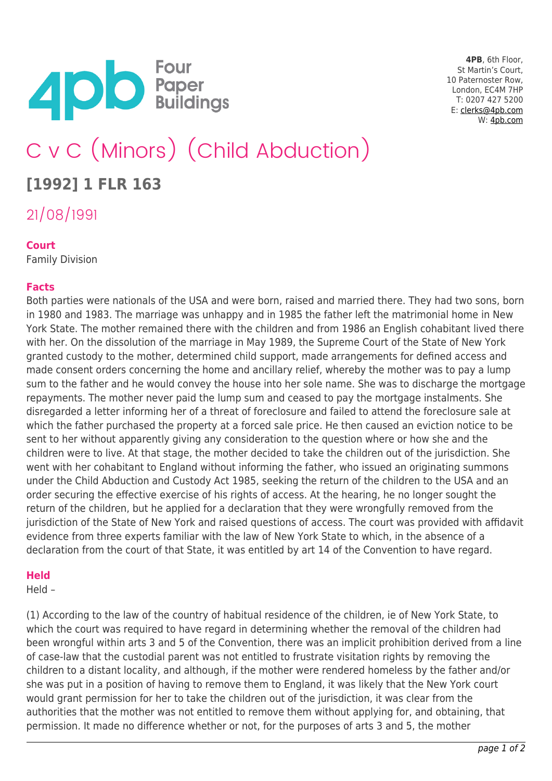

**4PB**, 6th Floor, St Martin's Court, 10 Paternoster Row, London, EC4M 7HP T: 0207 427 5200 E: [clerks@4pb.com](mailto:clerks@4pb.com) W: [4pb.com](http://4pb.com)

# C v C (Minors) (Child Abduction)

## **[1992] 1 FLR 163**

21/08/1991

### **Court**

Family Division

### **Facts**

Both parties were nationals of the USA and were born, raised and married there. They had two sons, born in 1980 and 1983. The marriage was unhappy and in 1985 the father left the matrimonial home in New York State. The mother remained there with the children and from 1986 an English cohabitant lived there with her. On the dissolution of the marriage in May 1989, the Supreme Court of the State of New York granted custody to the mother, determined child support, made arrangements for defined access and made consent orders concerning the home and ancillary relief, whereby the mother was to pay a lump sum to the father and he would convey the house into her sole name. She was to discharge the mortgage repayments. The mother never paid the lump sum and ceased to pay the mortgage instalments. She disregarded a letter informing her of a threat of foreclosure and failed to attend the foreclosure sale at which the father purchased the property at a forced sale price. He then caused an eviction notice to be sent to her without apparently giving any consideration to the question where or how she and the children were to live. At that stage, the mother decided to take the children out of the jurisdiction. She went with her cohabitant to England without informing the father, who issued an originating summons under the Child Abduction and Custody Act 1985, seeking the return of the children to the USA and an order securing the effective exercise of his rights of access. At the hearing, he no longer sought the return of the children, but he applied for a declaration that they were wrongfully removed from the jurisdiction of the State of New York and raised questions of access. The court was provided with affidavit evidence from three experts familiar with the law of New York State to which, in the absence of a declaration from the court of that State, it was entitled by art 14 of the Convention to have regard.

#### **Held**

Held –

(1) According to the law of the country of habitual residence of the children, ie of New York State, to which the court was required to have regard in determining whether the removal of the children had been wrongful within arts 3 and 5 of the Convention, there was an implicit prohibition derived from a line of case-law that the custodial parent was not entitled to frustrate visitation rights by removing the children to a distant locality, and although, if the mother were rendered homeless by the father and/or she was put in a position of having to remove them to England, it was likely that the New York court would grant permission for her to take the children out of the jurisdiction, it was clear from the authorities that the mother was not entitled to remove them without applying for, and obtaining, that permission. It made no difference whether or not, for the purposes of arts 3 and 5, the mother